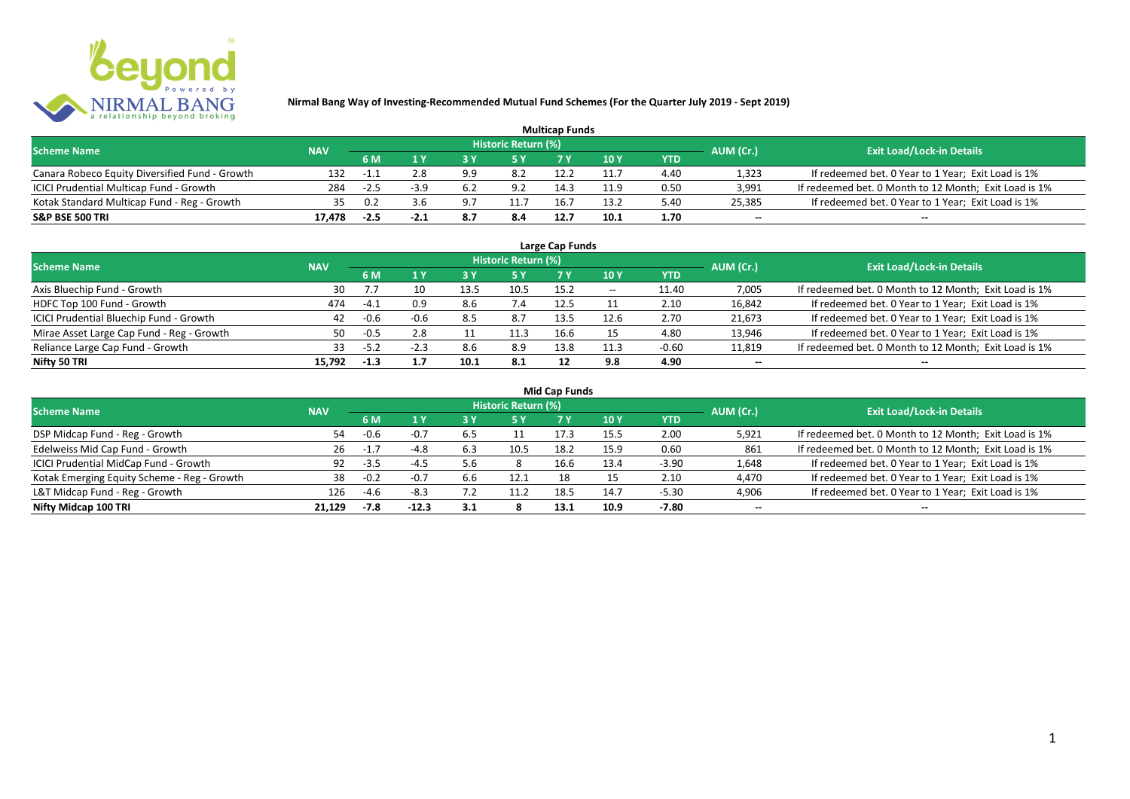

| <b>Multicap Funds</b>                          |            |        |        |            |                            |      |      |      |                          |                                                       |  |  |  |  |
|------------------------------------------------|------------|--------|--------|------------|----------------------------|------|------|------|--------------------------|-------------------------------------------------------|--|--|--|--|
| <b>Scheme Name</b>                             | <b>NAV</b> |        |        |            | <b>Historic Return (%)</b> |      |      |      | AUM (Cr.)                | <b>Exit Load/Lock-in Details</b>                      |  |  |  |  |
|                                                |            | 6 M    |        |            |                            |      | 10Y  | YTD  |                          |                                                       |  |  |  |  |
| Canara Robeco Equity Diversified Fund - Growth | 132        | -T     |        | 9.9        | 8.2                        |      |      | 4.40 | 1,323                    | If redeemed bet. 0 Year to 1 Year; Exit Load is 1%    |  |  |  |  |
| ICICI Prudential Multicap Fund - Growth        | 284        | $-2.5$ | $-3.9$ | 6.2        | 9.2                        | 14.3 | 11.9 | 0.50 | 3,991                    | If redeemed bet. 0 Month to 12 Month; Exit Load is 1% |  |  |  |  |
| Kotak Standard Multicap Fund - Reg - Growth    | 35.        | 0.2    |        | $\Omega$ . | 11.7                       | 16.  | 13.2 | 5.40 | 25,385                   | If redeemed bet. 0 Year to 1 Year; Exit Load is 1%    |  |  |  |  |
| S&P BSE 500 TRI                                | 17.478     | $-2.5$ |        | 8.7        | 8.4                        | 12.7 | 10.1 | 1.70 | $\overline{\phantom{a}}$ | $\hspace{0.1mm}-\hspace{0.1mm}-\hspace{0.1mm}$        |  |  |  |  |

| Large Cap Funds<br>Historic Return (%)    |            |        |        |      |      |      |       |            |                          |                                                       |  |  |  |  |
|-------------------------------------------|------------|--------|--------|------|------|------|-------|------------|--------------------------|-------------------------------------------------------|--|--|--|--|
| <b>Scheme Name</b>                        | <b>NAV</b> | 6 M    | 1 Y    |      | 5 Y  |      | 10Y   | <b>YTD</b> | AUM (Cr.)                | <b>Exit Load/Lock-in Details</b>                      |  |  |  |  |
| Axis Bluechip Fund - Growth               | 30         |        |        | 13.5 | 10.5 | 15.2 | $- -$ | 11.40      | 7,005                    | If redeemed bet. 0 Month to 12 Month; Exit Load is 1% |  |  |  |  |
| HDFC Top 100 Fund - Growth                | 474        | $-4.1$ | 0.9    | 8.6  | 7.4  | 12.5 |       | 2.10       | 16,842                   | If redeemed bet. 0 Year to 1 Year; Exit Load is 1%    |  |  |  |  |
| ICICI Prudential Bluechip Fund - Growth   | 42         | $-0.6$ | $-0.6$ | 8.5  | 8.7  | 13.5 | 12.6  | 2.70       | 21,673                   | If redeemed bet. 0 Year to 1 Year; Exit Load is 1%    |  |  |  |  |
| Mirae Asset Large Cap Fund - Reg - Growth | 50         | $-0.5$ | 2.8    |      | 11.3 | 16.6 | 15    | 4.80       | 13,946                   | If redeemed bet. 0 Year to 1 Year; Exit Load is 1%    |  |  |  |  |
| Reliance Large Cap Fund - Growth          | 33         | $-5.2$ | $-2.3$ | 8.6  | 8.9  | 13.8 | 11.3  | $-0.60$    | 11,819                   | If redeemed bet. 0 Month to 12 Month; Exit Load is 1% |  |  |  |  |
| Nifty 50 TRI                              | 15.792     | $-1.3$ |        | 10.1 | 8.1  |      | 9.8   | 4.90       | $\overline{\phantom{a}}$ | $\overline{\phantom{a}}$                              |  |  |  |  |

| <b>Mid Cap Funds</b>                        |            |        |         |     |                     |            |       |            |                          |                                                       |  |  |  |  |
|---------------------------------------------|------------|--------|---------|-----|---------------------|------------|-------|------------|--------------------------|-------------------------------------------------------|--|--|--|--|
| <b>Scheme Name</b>                          | <b>NAV</b> |        |         |     | Historic Return (%) |            |       |            | AUM (Cr.)                | <b>Exit Load/Lock-in Details</b>                      |  |  |  |  |
|                                             |            | 6 M    |         |     | 5 Y                 | <b>7 Y</b> | '10 Y | <b>YTD</b> |                          |                                                       |  |  |  |  |
| DSP Midcap Fund - Reg - Growth              | 54         | $-0.6$ | $-0.7$  |     |                     |            | 15.5  | 2.00       | 5,921                    | If redeemed bet. 0 Month to 12 Month; Exit Load is 1% |  |  |  |  |
| Edelweiss Mid Cap Fund - Growth             | 26         | $-1.7$ | $-4.8$  | 6.3 | 10.5                | 18.2       | 15.9  | 0.60       | 861                      | If redeemed bet. 0 Month to 12 Month; Exit Load is 1% |  |  |  |  |
| ICICI Prudential MidCap Fund - Growth       | 92         | $-3.5$ | $-4.5$  | 5.6 |                     | 16.6       | 13.4  | $-3.90$    | 1,648                    | If redeemed bet. 0 Year to 1 Year; Exit Load is 1%    |  |  |  |  |
| Kotak Emerging Equity Scheme - Reg - Growth | 38         | $-0.2$ | $-0.7$  | b.b | 12.1                | 18         |       | 2.10       | 4,470                    | If redeemed bet. 0 Year to 1 Year; Exit Load is 1%    |  |  |  |  |
| L&T Midcap Fund - Reg - Growth              | 126        | $-4.6$ | $-8.3$  |     | 11.2                | 18.5       | 14.7  | $-5.30$    | 4,906                    | If redeemed bet. 0 Year to 1 Year; Exit Load is 1%    |  |  |  |  |
| Nifty Midcap 100 TRI                        | 21.129     | $-7.8$ | $-12.3$ | 3.1 |                     | 13.1       | 10.9  | -7.80      | $\overline{\phantom{a}}$ | $- -$                                                 |  |  |  |  |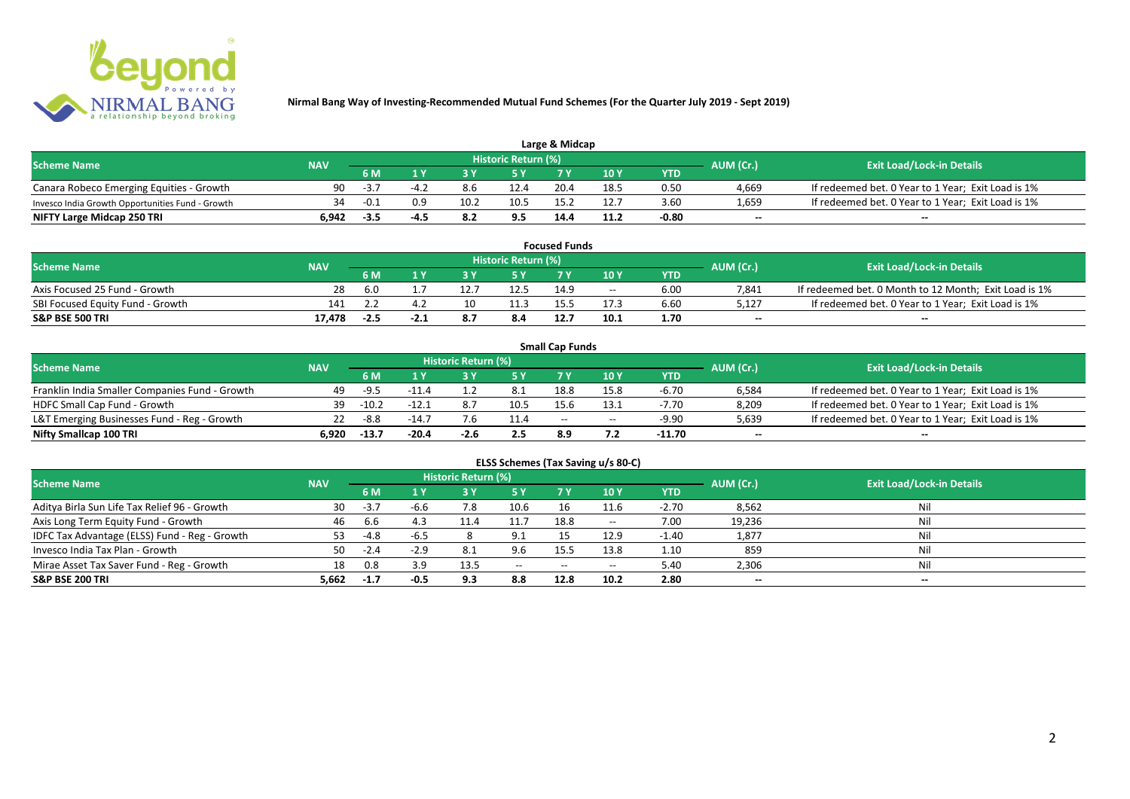

| Large & Midcap                                   |            |      |     |      |                     |      |      |         |                          |                                                    |  |  |  |  |
|--------------------------------------------------|------------|------|-----|------|---------------------|------|------|---------|--------------------------|----------------------------------------------------|--|--|--|--|
| <b>Scheme Name</b>                               | <b>NAV</b> |      |     |      | Historic Return (%) |      |      |         | AUM (Cr.)                | <b>Exit Load/Lock-in Details</b>                   |  |  |  |  |
|                                                  |            | 6 M  |     |      |                     | 7 M  | 10Y  | YTD     |                          |                                                    |  |  |  |  |
| Canara Robeco Emerging Equities - Growth         | 90         | -3., |     | -8.6 | 12.4                | 20.4 | 18.5 | 0.50    | 4,669                    | If redeemed bet. 0 Year to 1 Year; Exit Load is 1% |  |  |  |  |
| Invesco India Growth Opportunities Fund - Growth |            | -0.1 | 0.9 | 10.2 | 10.5                |      |      | 3.60    | 1,659                    | If redeemed bet. 0 Year to 1 Year; Exit Load is 1% |  |  |  |  |
| NIFTY Large Midcap 250 TRI                       | 6.942      | -3.5 |     |      | 9.5                 | 14.4 |      | $-0.80$ | $\overline{\phantom{a}}$ | $\overline{\phantom{a}}$                           |  |  |  |  |

| <b>Focused Funds</b>             |            |        |      |    |                     |      |       |            |                          |                                                       |  |  |  |
|----------------------------------|------------|--------|------|----|---------------------|------|-------|------------|--------------------------|-------------------------------------------------------|--|--|--|
| <b>Scheme Name</b>               | <b>NAV</b> |        |      |    | Historic Return (%) |      |       |            | AUM (Cr.)                | <b>Exit Load/Lock-in Details</b>                      |  |  |  |
|                                  |            | 6 M    |      |    | <b>EV</b>           |      | 10 Y  | <b>YTD</b> |                          |                                                       |  |  |  |
| Axis Focused 25 Fund - Growth    | 28         | 6.0    |      |    | 12.5                | 14.9 | $- -$ | 6.00       | 7.841                    | If redeemed bet. 0 Month to 12 Month; Exit Load is 1% |  |  |  |
| SBI Focused Equity Fund - Growth | 141        |        | 4.2  | 10 | 11.3                |      |       | 6.60       | 5.127                    | If redeemed bet. 0 Year to 1 Year; Exit Load is 1%    |  |  |  |
| S&P BSE 500 TRI                  | 17.478     | $-2.5$ | -2.± |    | 8.4                 | 12.7 | 10.1  | 1.70       | $\overline{\phantom{a}}$ | $- -$                                                 |  |  |  |

|                                                |            |         |         |                     |      | <b>Small Cap Funds</b> |       |          |                          |                                                    |
|------------------------------------------------|------------|---------|---------|---------------------|------|------------------------|-------|----------|--------------------------|----------------------------------------------------|
| <b>Scheme Name</b>                             | <b>NAV</b> |         |         | Historic Return (%) |      |                        |       |          | AUM (Cr.)                | <b>Exit Load/Lock-in Details</b>                   |
|                                                |            | 6 M     |         |                     |      |                        | 10 Y  | YTD      |                          |                                                    |
| Franklin India Smaller Companies Fund - Growth | 49         | $-9.5$  | $-11.4$ |                     | 8.1  | 18.8                   | 15.8  | $-6.70$  | 6,584                    | If redeemed bet. 0 Year to 1 Year; Exit Load is 1% |
| HDFC Small Cap Fund - Growth                   | 39         | $-10.2$ | $-12.1$ |                     | 10.5 | 15.6                   |       | $-7.70$  | 8,209                    | If redeemed bet. 0 Year to 1 Year; Exit Load is 1% |
| L&T Emerging Businesses Fund - Reg - Growth    | 22         | -8.8    | $-14.7$ |                     | 11.4 | $-$                    | $- -$ | $-9.90$  | 5,639                    | If redeemed bet. 0 Year to 1 Year; Exit Load is 1% |
| Nifty Smallcap 100 TRI                         | 6.920      | $-13.7$ | $-20.4$ | $-2.6$              | 2.5  | 8.9                    |       | $-11.70$ | $\overline{\phantom{a}}$ | $-$                                                |

| ELSS Schemes (Tax Saving u/s 80-C)            |                  |        |        |                     |           |            |                                       |            |                          |                                  |  |  |  |
|-----------------------------------------------|------------------|--------|--------|---------------------|-----------|------------|---------------------------------------|------------|--------------------------|----------------------------------|--|--|--|
| <b>Scheme Name</b>                            | <b>NAV</b>       |        |        | Historic Return (%) |           |            |                                       |            | AUM (Cr.)                | <b>Exit Load/Lock-in Details</b> |  |  |  |
|                                               | <b>6M</b><br>1 Y |        |        | 3 Y                 | <b>5Y</b> | <b>7 Y</b> | 10 Y                                  | <b>YTD</b> |                          |                                  |  |  |  |
| Aditya Birla Sun Life Tax Relief 96 - Growth  | 30               | $-3.7$ | $-6.6$ | 7.8                 | 10.6      | 16         | 11.6                                  | $-2.70$    | 8,562                    | Nil                              |  |  |  |
| Axis Long Term Equity Fund - Growth           | 46               | 6.6    | 4.3    |                     | 11.7      | 18.8       | $- -$                                 | 7.00       | 19,236                   | Nil                              |  |  |  |
| IDFC Tax Advantage (ELSS) Fund - Reg - Growth | 53               | $-4.8$ | $-6.5$ |                     | 9.1       |            | 12.9                                  | $-1.40$    | 1,877                    | Nil                              |  |  |  |
| Invesco India Tax Plan - Growth               | 50.              | $-2.4$ | $-2.9$ | 8.1                 | 9.6       | 15.5       | 13.8                                  | 1.10       | 859                      | Nil                              |  |  |  |
| Mirae Asset Tax Saver Fund - Reg - Growth     | 18               | 0.8    | 3.9    | 13.5                | $- -$     | --         | $\hspace{0.05cm}$ – $\hspace{0.05cm}$ | 5.40       | 2,306                    | Nil                              |  |  |  |
| S&P BSE 200 TRI                               | 5,662            | $-1.7$ | $-0.5$ | 9.3                 | 8.8       | 12.8       | 10.2                                  | 2.80       | $\overline{\phantom{a}}$ | $\overline{\phantom{a}}$         |  |  |  |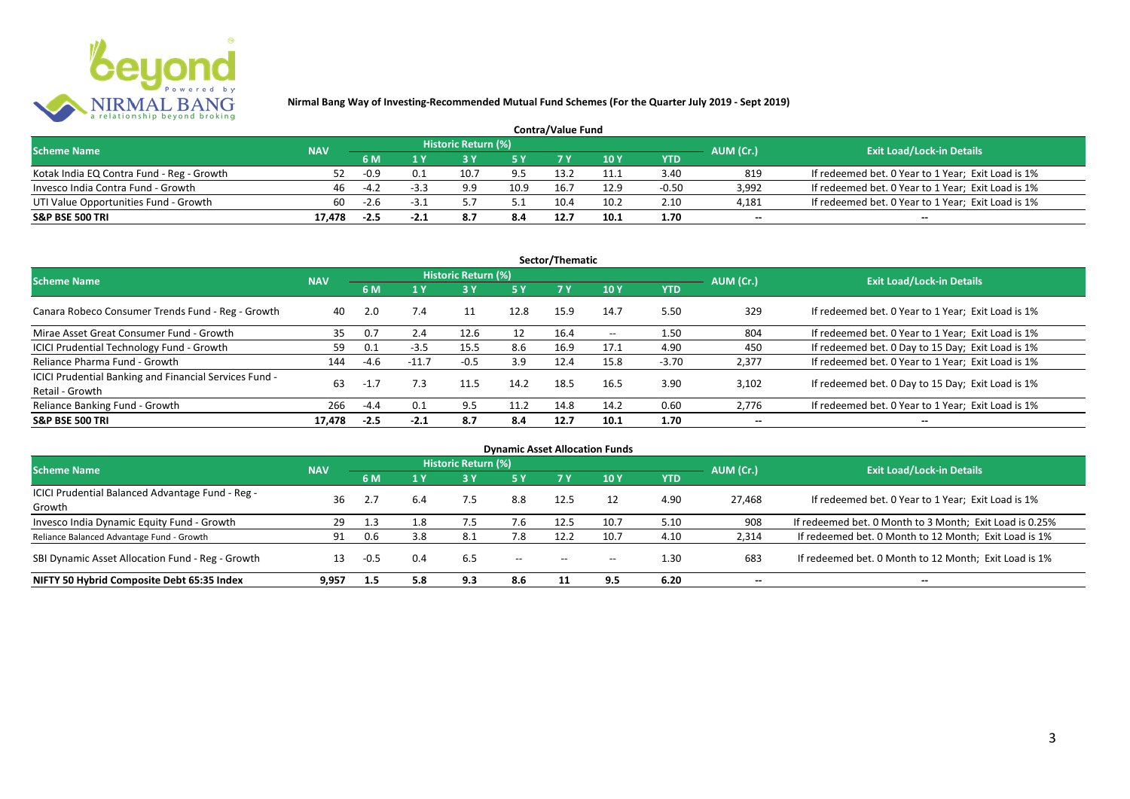

| <b>Contra/Value Fund</b>                  |            |           |                                  |      |      |      |      |         |                          |                                                    |  |  |  |  |
|-------------------------------------------|------------|-----------|----------------------------------|------|------|------|------|---------|--------------------------|----------------------------------------------------|--|--|--|--|
| <b>Scheme Name</b>                        | <b>NAV</b> | AUM (Cr.) | <b>Exit Load/Lock-in Details</b> |      |      |      |      |         |                          |                                                    |  |  |  |  |
|                                           |            | 6 M       |                                  |      |      |      | 10 Y | YTD     |                          |                                                    |  |  |  |  |
| Kotak India EQ Contra Fund - Reg - Growth | 52.        | $-0.9$    | 0.1                              | 10.7 | 9.5  | 13.2 |      | 3.40    | 819                      | If redeemed bet. 0 Year to 1 Year; Exit Load is 1% |  |  |  |  |
| Invesco India Contra Fund - Growth        | 46         | $-4.2$    | $-3.3$                           | 9.9  | 10.9 | 16.7 | 12.9 | $-0.50$ | 3.992                    | If redeemed bet. 0 Year to 1 Year; Exit Load is 1% |  |  |  |  |
| UTI Value Opportunities Fund - Growth     | 60         | $-2.6$    |                                  |      |      | 10.4 | 10.2 | 2.10    | 4,181                    | If redeemed bet. 0 Year to 1 Year; Exit Load is 1% |  |  |  |  |
| S&P BSE 500 TRI                           | 17.478     | $-2.5$    |                                  |      | 8.4  | 12.7 | 10.1 | 1.70    | $\overline{\phantom{a}}$ | $\qquad \qquad$                                    |  |  |  |  |

| Sector/Thematic                                                           |            |        |         |                     |           |      |                                       |            |                          |                                                    |  |  |  |
|---------------------------------------------------------------------------|------------|--------|---------|---------------------|-----------|------|---------------------------------------|------------|--------------------------|----------------------------------------------------|--|--|--|
| <b>Scheme Name</b>                                                        | <b>NAV</b> |        |         | Historic Return (%) |           |      |                                       |            | AUM (Cr.)                | <b>Exit Load/Lock-in Details</b>                   |  |  |  |
|                                                                           |            | 6 M    | 1 Y     | 3 Y                 | <b>5Y</b> |      | 10Y                                   | <b>YTD</b> |                          |                                                    |  |  |  |
| Canara Robeco Consumer Trends Fund - Reg - Growth                         | 40         | 2.0    | 7.4     |                     | 12.8      | 15.9 | 14.7                                  | 5.50       | 329                      | If redeemed bet. 0 Year to 1 Year; Exit Load is 1% |  |  |  |
| Mirae Asset Great Consumer Fund - Growth                                  | 35         | 0.7    | 2.4     | 12.6                | 12        | 16.4 | $\hspace{0.05cm}$ – $\hspace{0.05cm}$ | 1.50       | 804                      | If redeemed bet. 0 Year to 1 Year; Exit Load is 1% |  |  |  |
| <b>ICICI Prudential Technology Fund - Growth</b>                          | 59         | 0.1    | $-3.5$  | 15.5                | 8.6       | 16.9 | 17.1                                  | 4.90       | 450                      | If redeemed bet. 0 Day to 15 Day; Exit Load is 1%  |  |  |  |
| Reliance Pharma Fund - Growth                                             | 144        | $-4.6$ | $-11.7$ | $-0.5$              | 3.9       | 12.4 | 15.8                                  | $-3.70$    | 2,377                    | If redeemed bet. 0 Year to 1 Year; Exit Load is 1% |  |  |  |
| ICICI Prudential Banking and Financial Services Fund -<br>Retail - Growth | 63         | $-1.7$ | 7.3     | 11.5                | 14.2      | 18.5 | 16.5                                  | 3.90       | 3,102                    | If redeemed bet. 0 Day to 15 Day; Exit Load is 1%  |  |  |  |
| Reliance Banking Fund - Growth                                            | 266        | $-4.4$ | 0.1     | 9.5                 | 11.2      | 14.8 | 14.2                                  | 0.60       | 2,776                    | If redeemed bet. 0 Year to 1 Year; Exit Load is 1% |  |  |  |
| <b>S&amp;P BSE 500 TRI</b>                                                | 17.478     | $-2.5$ | $-2.1$  | 8.7                 | 8.4       | 12.7 | 10.1                                  | 1.70       | $\overline{\phantom{a}}$ | $\overline{\phantom{a}}$                           |  |  |  |

| <b>Dynamic Asset Allocation Funds</b>            |            |        |     |                            |                                       |                                       |       |            |                          |                                                         |  |  |  |  |
|--------------------------------------------------|------------|--------|-----|----------------------------|---------------------------------------|---------------------------------------|-------|------------|--------------------------|---------------------------------------------------------|--|--|--|--|
| Scheme Name                                      | <b>NAV</b> |        |     | <b>Historic Return (%)</b> |                                       |                                       |       |            | AUM (Cr.)                | <b>Exit Load/Lock-in Details</b>                        |  |  |  |  |
|                                                  |            | 6 M    | 1 Y | 73 V.                      | 5 Y                                   |                                       | 10Y   | <b>YTD</b> |                          |                                                         |  |  |  |  |
| ICICI Prudential Balanced Advantage Fund - Reg - | 36         |        | 6.4 |                            | 8.8                                   | 12.5                                  |       | 4.90       | 27.468                   | If redeemed bet. 0 Year to 1 Year; Exit Load is 1%      |  |  |  |  |
| Growth                                           |            |        |     | 7.5                        |                                       |                                       |       |            |                          |                                                         |  |  |  |  |
| Invesco India Dynamic Equity Fund - Growth       | 29         | 1.3    | l.8 | 7.5                        |                                       | 12.5                                  | 10.7  | 5.10       | 908                      | If redeemed bet. 0 Month to 3 Month; Exit Load is 0.25% |  |  |  |  |
| Reliance Balanced Advantage Fund - Growth        | 91         | 0.6    | 3.8 | 8.1                        | 7.8                                   | 12.2                                  | 10.7  | 4.10       | 2,314                    | If redeemed bet. 0 Month to 12 Month; Exit Load is 1%   |  |  |  |  |
| SBI Dynamic Asset Allocation Fund - Reg - Growth |            | $-0.5$ | 0.4 | 6.5                        | $\hspace{0.05cm}$ – $\hspace{0.05cm}$ | $\hspace{0.05cm}$ – $\hspace{0.05cm}$ | $- -$ | 1.30       | 683                      | If redeemed bet. 0 Month to 12 Month; Exit Load is 1%   |  |  |  |  |
| NIFTY 50 Hybrid Composite Debt 65:35 Index       | 9.957      | 1.5    | 5.8 | 9.3                        | 8.6                                   |                                       | 9.5   | 6.20       | $\overline{\phantom{a}}$ | $- -$                                                   |  |  |  |  |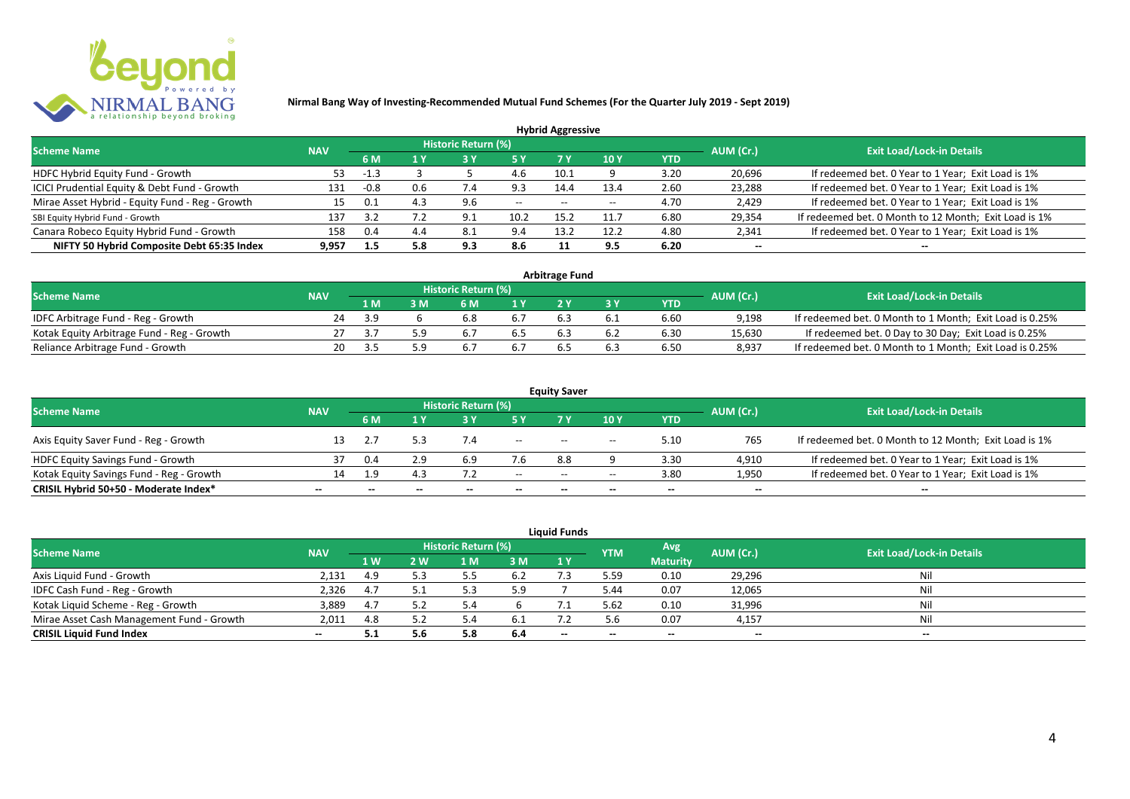

| <b>Hybrid Aggressive</b>                        |            |        |     |                            |       |       |      |      |                          |                                                       |  |  |  |  |
|-------------------------------------------------|------------|--------|-----|----------------------------|-------|-------|------|------|--------------------------|-------------------------------------------------------|--|--|--|--|
| <b>Scheme Name</b>                              | <b>NAV</b> |        |     | <b>Historic Return (%)</b> |       |       |      |      | AUM (Cr.)                | <b>Exit Load/Lock-in Details</b>                      |  |  |  |  |
|                                                 |            | 6 M    | 1 Y |                            |       | 7 Y   | 10Y  | YTD  |                          |                                                       |  |  |  |  |
| HDFC Hybrid Equity Fund - Growth                | 53         | $-1.3$ |     |                            | 4.6   | 10.1  |      | 3.20 | 20,696                   | If redeemed bet. 0 Year to 1 Year; Exit Load is 1%    |  |  |  |  |
| ICICI Prudential Equity & Debt Fund - Growth    | 131        | $-0.8$ | 0.6 | $\cdot$ .4                 | 9.3   | 14.4  | 13.4 | 2.60 | 23,288                   | If redeemed bet. 0 Year to 1 Year; Exit Load is 1%    |  |  |  |  |
| Mirae Asset Hybrid - Equity Fund - Reg - Growth | 15         | ີ . 1  | 4.3 | 9.6                        | $- -$ | $- -$ |      | 4.70 | 2,429                    | If redeemed bet. 0 Year to 1 Year; Exit Load is 1%    |  |  |  |  |
| SBI Equity Hybrid Fund - Growth                 | 137        |        |     | Q 1                        | 10.2  | 15.2  | 11.7 | 6.80 | 29,354                   | If redeemed bet. 0 Month to 12 Month; Exit Load is 1% |  |  |  |  |
| Canara Robeco Equity Hybrid Fund - Growth       | 158        | 0.4    | 4.4 | 8.1                        | 9.4   | 13.7  | 12.2 | 4.80 | 2,341                    | If redeemed bet. 0 Year to 1 Year; Exit Load is 1%    |  |  |  |  |
| NIFTY 50 Hybrid Composite Debt 65:35 Index      | 9.957      | 1.5    | 5.8 | 9.3                        | 8.6   |       | 9.5  | 6.20 | $\overline{\phantom{a}}$ | $- -$                                                 |  |  |  |  |

| <b>Arbitrage Fund</b>                      |            |     |  |                     |     |  |     |            |           |                                                         |  |  |  |  |
|--------------------------------------------|------------|-----|--|---------------------|-----|--|-----|------------|-----------|---------------------------------------------------------|--|--|--|--|
| <b>Scheme Name</b>                         | <b>NAV</b> |     |  | Historic Return (%) |     |  |     |            | AUM (Cr.) | <b>Exit Load/Lock-in Details</b>                        |  |  |  |  |
|                                            |            | l M |  | 6 M                 |     |  |     | <b>YTD</b> |           |                                                         |  |  |  |  |
| IDFC Arbitrage Fund - Reg - Growth         | 24         | 3.9 |  |                     |     |  |     | 6.60       | 9.198     | If redeemed bet. 0 Month to 1 Month; Exit Load is 0.25% |  |  |  |  |
| Kotak Equity Arbitrage Fund - Reg - Growth |            |     |  |                     | .b. |  | 6.2 | 6.30       | 15,630    | If redeemed bet. 0 Day to 30 Day; Exit Load is 0.25%    |  |  |  |  |
| Reliance Arbitrage Fund - Growth           | 20         |     |  |                     |     |  |     | 6.50       | 8.937     | If redeemed bet. 0 Month to 1 Month; Exit Load is 0.25% |  |  |  |  |

| <b>Equity Saver</b>                      |            |     |              |                     |        |                                       |       |        |                          |                                                       |
|------------------------------------------|------------|-----|--------------|---------------------|--------|---------------------------------------|-------|--------|--------------------------|-------------------------------------------------------|
| <b>Scheme Name</b>                       | <b>NAV</b> |     |              | Historic Return (%) |        |                                       |       |        | AUM (Cr.)                | <b>Exit Load/Lock-in Details</b>                      |
|                                          |            | 6 M |              |                     |        |                                       | 10 Y  | YTD    |                          |                                                       |
| Axis Equity Saver Fund - Reg - Growth    |            |     |              |                     | $- -$  | $- -$                                 | $- -$ | 5.10   | 765                      | If redeemed bet. 0 Month to 12 Month; Exit Load is 1% |
| HDFC Equity Savings Fund - Growth        |            | 0.4 | 2.9          |                     | 7.6    | 8.8                                   |       | 3.30   | 4,910                    | If redeemed bet. 0 Year to 1 Year; Exit Load is 1%    |
| Kotak Equity Savings Fund - Reg - Growth | IД         | 1.9 | 4.3          |                     | $- -$  | $\hspace{0.05cm}$ – $\hspace{0.05cm}$ | --    | 3.80   | 1,950                    | If redeemed bet. 0 Year to 1 Year; Exit Load is 1%    |
| CRISIL Hybrid 50+50 - Moderate Index*    | $- -$      | $-$ | $\mathbf{m}$ | $- -$               | $\sim$ | $- -$                                 | $- -$ | $\sim$ | $\overline{\phantom{a}}$ | $\qquad \qquad$                                       |

| <b>Liquid Funds</b>                       |            |                |     |                     |       |       |            |                          |                          |                                  |  |
|-------------------------------------------|------------|----------------|-----|---------------------|-------|-------|------------|--------------------------|--------------------------|----------------------------------|--|
| <b>Scheme Name</b>                        | <b>NAV</b> |                |     | Historic Return (%) |       |       | <b>YTM</b> | Avg                      | AUM (Cr.)                | <b>Exit Load/Lock-in Details</b> |  |
|                                           |            | 1 <sub>W</sub> | 2 W | 1 M                 | 3 M   | 1Y    |            | <b>Maturity</b>          |                          |                                  |  |
| Axis Liquid Fund - Growth                 | 2,131      | -4.9           |     |                     | - 6.2 |       | 5.59       | 0.10                     | 29,296                   | Nil                              |  |
| IDFC Cash Fund - Reg - Growth             | 2,326      | 4.7            |     |                     | 5.9   |       | 5.44       | 0.07                     | 12,065                   | Nil                              |  |
| Kotak Liquid Scheme - Reg - Growth        | 3,889      | 4.7            |     |                     |       |       | 5.62       | 0.10                     | 31,996                   | Nil                              |  |
| Mirae Asset Cash Management Fund - Growth | 2,011      | 4.8            |     |                     | 6.1   |       | 5.6        | 0.07                     | 4,157                    | Nil                              |  |
| <b>CRISIL Liquid Fund Index</b>           | $\sim$     | 5.1            |     | 5.8                 | -6.4  | $- -$ | $- -$      | $\overline{\phantom{a}}$ | $\overline{\phantom{a}}$ | $-$                              |  |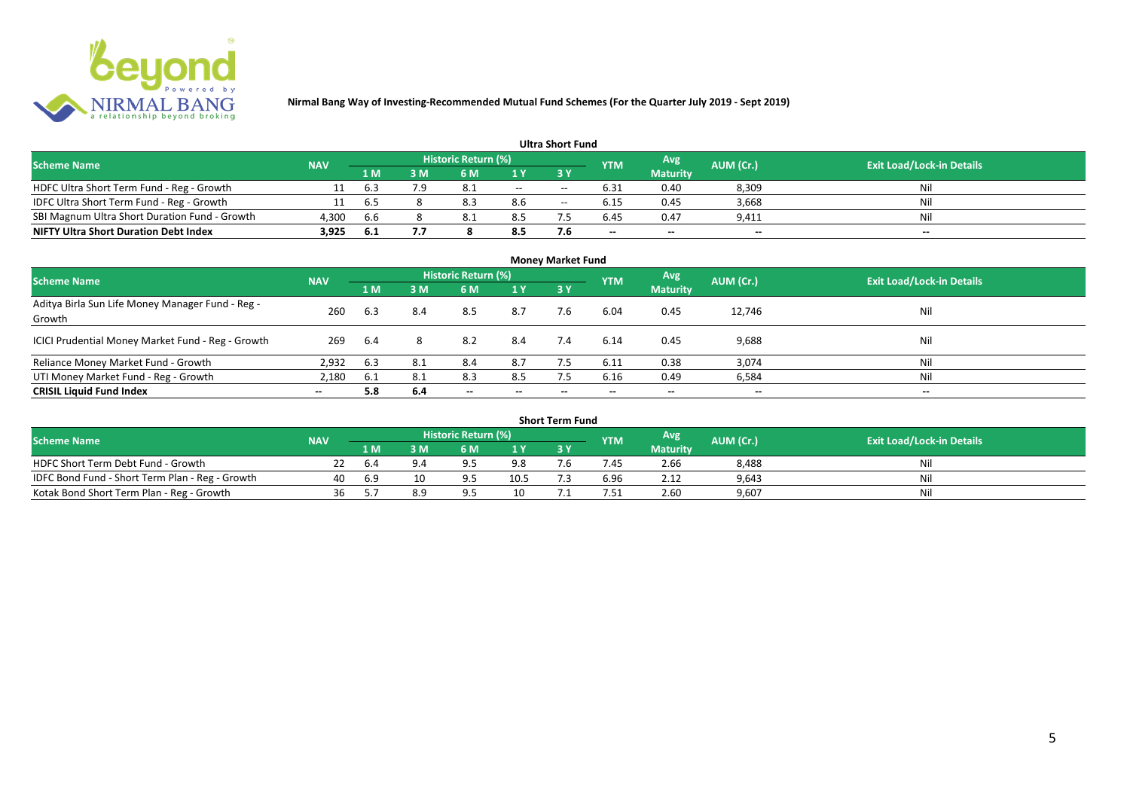

| <b>Ultra Short Fund</b>                       |            |       |     |                            |     |       |                 |                          |                          |                                  |
|-----------------------------------------------|------------|-------|-----|----------------------------|-----|-------|-----------------|--------------------------|--------------------------|----------------------------------|
| <b>Scheme Name</b>                            | <b>NAV</b> |       |     | <b>Historic Return (%)</b> |     |       | <b>YTM</b>      | Avg                      | AUM (Cr.)                | <b>Exit Load/Lock-in Details</b> |
|                                               |            | '1 M. | 3 M | 6 M                        |     | 3 Y   |                 | <b>Maturity</b>          |                          |                                  |
| HDFC Ultra Short Term Fund - Reg - Growth     |            | 6.3   | 7.9 | 8.1                        | $-$ | $- -$ | 6.31            | 0.40                     | 8,309                    | Nil                              |
| IDFC Ultra Short Term Fund - Reg - Growth     |            | 6.5   |     | 8.3                        | 8.6 | $- -$ | 6.15            | 0.45                     | 3,668                    | Nil                              |
| SBI Magnum Ultra Short Duration Fund - Growth | 4,300      | 6.6   |     | 8.1                        | 8.5 |       | 6.45            | 0.47                     | 9,411                    | Nil                              |
| <b>NIFTY Ultra Short Duration Debt Index</b>  | 3,925      | -6.1  |     |                            | 8.5 | 7.6   | $\qquad \qquad$ | $\overline{\phantom{a}}$ | $\overline{\phantom{a}}$ | $\overline{\phantom{a}}$         |

| <b>Money Market Fund</b>                                   |            |      |     |                            |                          |           |            |                        |                          |                                  |
|------------------------------------------------------------|------------|------|-----|----------------------------|--------------------------|-----------|------------|------------------------|--------------------------|----------------------------------|
| <b>Scheme Name</b>                                         | <b>NAV</b> |      |     | <b>Historic Return (%)</b> |                          |           | <b>YTM</b> | Avg<br><b>Maturity</b> | AUM (Cr.)                | <b>Exit Load/Lock-in Details</b> |
|                                                            |            | 1 M  | 3M  | 6 M                        | 1Y                       | <b>3Y</b> |            |                        |                          |                                  |
| Aditya Birla Sun Life Money Manager Fund - Reg -<br>Growth | 260        | 6.3  | 8.4 | 8.5                        | 8.7                      | 7.6       | 6.04       | 0.45                   | 12,746                   | Nil                              |
| ICICI Prudential Money Market Fund - Reg - Growth          | 269        | -6.4 | 8   | 8.2                        | 8.4                      | 7.4       | 6.14       | 0.45                   | 9,688                    | Nil                              |
| Reliance Money Market Fund - Growth                        | 2,932      | 6.3  | 8.1 | 8.4                        | 8.7                      |           | 6.11       | 0.38                   | 3,074                    | Nil                              |
| UTI Money Market Fund - Reg - Growth                       | 2,180      | 6.1  | 8.1 | 8.3                        | 8.5                      | 7.5       | 6.16       | 0.49                   | 6,584                    | Nil                              |
| <b>CRISIL Liquid Fund Index</b>                            | $- -$      | 5.8  | 6.4 | $\overline{\phantom{a}}$   | $\overline{\phantom{a}}$ | --        | $\!-$      | $\sim$                 | $\overline{\phantom{a}}$ | $\overline{\phantom{a}}$         |

| Short Term Fund                                 |            |     |     |                     |      |  |            |                 |           |                                  |
|-------------------------------------------------|------------|-----|-----|---------------------|------|--|------------|-----------------|-----------|----------------------------------|
| <b>Scheme Name</b>                              | <b>NAV</b> |     |     | Historic Return (%) |      |  | <b>YTM</b> | <b>Avg</b>      | AUM (Cr.) | <b>Exit Load/Lock-in Details</b> |
|                                                 |            | 1 M |     | 6 M                 | 1 V  |  |            | <b>Maturity</b> |           |                                  |
| HDFC Short Term Debt Fund - Growth              |            | 6.4 |     |                     | 9.8  |  | .45        | 2.66            | 8,488     | Nil                              |
| IDFC Bond Fund - Short Term Plan - Reg - Growth | 40         | 6.9 | 10  |                     | 10.5 |  | 6.96       | 2.12            | 9,643     | Nil                              |
| Kotak Bond Short Term Plan - Reg - Growth       | 36         |     | 8.9 |                     | 10   |  | '.51       | 2.60            | 9,607     | Nil                              |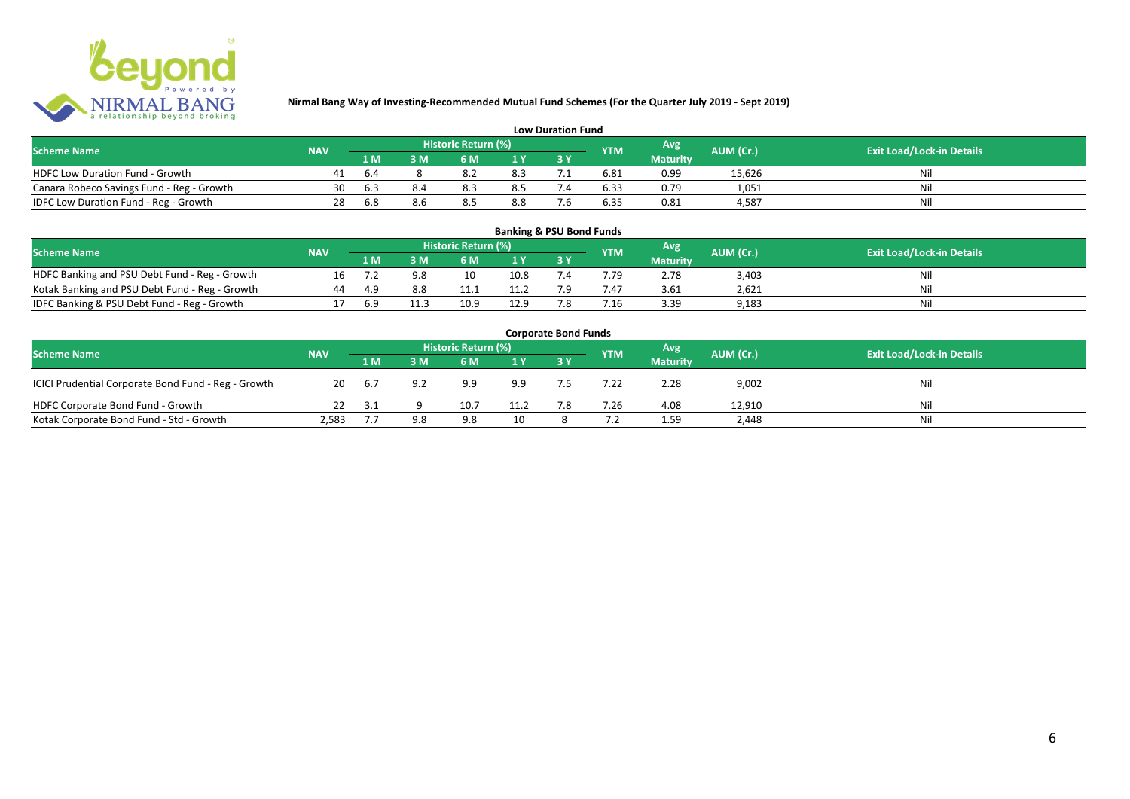

| <b>Low Duration Fund</b>                  |            |     |  |                     |     |  |            |                 |           |                                  |
|-------------------------------------------|------------|-----|--|---------------------|-----|--|------------|-----------------|-----------|----------------------------------|
| <b>Scheme Name</b>                        | <b>NAV</b> |     |  | Historic Return (%) |     |  | <b>YTM</b> | Avg             | AUM (Cr.) | <b>Exit Load/Lock-in Details</b> |
|                                           |            | 1 M |  | 6 M.                |     |  |            | <b>Maturity</b> |           |                                  |
| <b>HDFC Low Duration Fund - Growth</b>    | 41.        | 6.4 |  |                     | 8.3 |  | 6.81       | 0.99            | 15,626    | Ni                               |
| Canara Robeco Savings Fund - Reg - Growth | 30         | 6.3 |  | 8.3                 | 8.5 |  | 6.33       | 0.79            | 1,051     | Ni                               |
| IDFC Low Duration Fund - Reg - Growth     | 28         | 6.8 |  | 8.5                 | 8.8 |  | 6.35       | 0.81            | 4.587     | Ni                               |

| <b>Banking &amp; PSU Bond Funds</b>            |            |     |      |                     |      |                |            |                 |                  |                                  |
|------------------------------------------------|------------|-----|------|---------------------|------|----------------|------------|-----------------|------------------|----------------------------------|
| <b>Scheme Name</b>                             | <b>NAV</b> |     |      | Historic Return (%) |      |                | <b>YTM</b> | Avg             | <b>AUM (Cr.)</b> | <b>Exit Load/Lock-in Details</b> |
|                                                |            | 1 M | 3 M. | 6 M                 | 1 Y  |                |            | <b>Maturity</b> |                  |                                  |
| HDFC Banking and PSU Debt Fund - Reg - Growth  |            |     | 9.8  | 10                  | 10.8 |                | 7.79       | 2.78            | 3.403            | Nil                              |
| Kotak Banking and PSU Debt Fund - Reg - Growth | 44         | 4.9 | 8.8  |                     |      | ה ד            | '.47       | 3.61            | 2,621            | Nil                              |
| IDFC Banking & PSU Debt Fund - Reg - Growth    |            | 6.9 | 11:  | 10.9                | 12.9 | 70<br>$\Omega$ | 7.16       | 3.39            | 9,183            | Nil                              |

| <b>Corporate Bond Funds</b>                         |            |      |     |                     |              |     |            |                 |           |                                  |
|-----------------------------------------------------|------------|------|-----|---------------------|--------------|-----|------------|-----------------|-----------|----------------------------------|
| <b>Scheme Name</b>                                  | <b>NAV</b> |      |     | Historic Return (%) |              |     | <b>YTM</b> | <b>Avg</b>      | AUM (Cr.) | <b>Exit Load/Lock-in Details</b> |
|                                                     |            | 1 M  | 3 M | 6 M                 | $\sqrt{1}$ V |     |            | <b>Maturity</b> |           |                                  |
| ICICI Prudential Corporate Bond Fund - Reg - Growth | 20         | 6.7  | 9.2 | 9.9                 | 9.9          |     | 7.22       | 2.28            | 9,002     | Nil                              |
| HDFC Corporate Bond Fund - Growth                   |            | -3.1 |     | 10.7                | 11.2         | 7.8 | 7.26       | 4.08            | 12,910    | Ni!                              |
| Kotak Corporate Bond Fund - Std - Growth            | 2,583      |      | 9.8 | 9.8                 |              |     |            | 1.59            | 2,448     | Nil                              |